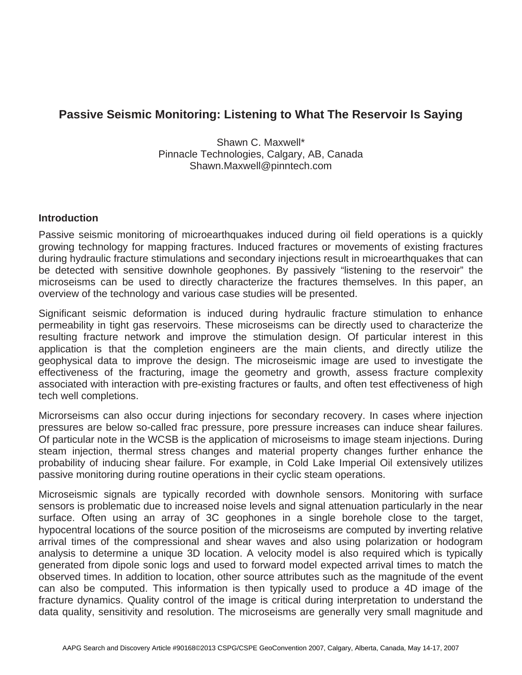## **Passive Seismic Monitoring: Listening to What The Reservoir Is Saying**

Shawn C. Maxwell\* Pinnacle Technologies, Calgary, AB, Canada Shawn.Maxwell@pinntech.com

## **Introduction**

Passive seismic monitoring of microearthquakes induced during oil field operations is a quickly growing technology for mapping fractures. Induced fractures or movements of existing fractures during hydraulic fracture stimulations and secondary injections result in microearthquakes that can be detected with sensitive downhole geophones. By passively "listening to the reservoir" the microseisms can be used to directly characterize the fractures themselves. In this paper, an overview of the technology and various case studies will be presented.

Significant seismic deformation is induced during hydraulic fracture stimulation to enhance permeability in tight gas reservoirs. These microseisms can be directly used to characterize the resulting fracture network and improve the stimulation design. Of particular interest in this application is that the completion engineers are the main clients, and directly utilize the geophysical data to improve the design. The microseismic image are used to investigate the effectiveness of the fracturing, image the geometry and growth, assess fracture complexity associated with interaction with pre-existing fractures or faults, and often test effectiveness of high tech well completions.

Microrseisms can also occur during injections for secondary recovery. In cases where injection pressures are below so-called frac pressure, pore pressure increases can induce shear failures. Of particular note in the WCSB is the application of microseisms to image steam injections. During steam injection, thermal stress changes and material property changes further enhance the probability of inducing shear failure. For example, in Cold Lake Imperial Oil extensively utilizes passive monitoring during routine operations in their cyclic steam operations.

Microseismic signals are typically recorded with downhole sensors. Monitoring with surface sensors is problematic due to increased noise levels and signal attenuation particularly in the near surface. Often using an array of 3C geophones in a single borehole close to the target, hypocentral locations of the source position of the microseisms are computed by inverting relative arrival times of the compressional and shear waves and also using polarization or hodogram analysis to determine a unique 3D location. A velocity model is also required which is typically generated from dipole sonic logs and used to forward model expected arrival times to match the observed times. In addition to location, other source attributes such as the magnitude of the event can also be computed. This information is then typically used to produce a 4D image of the fracture dynamics. Quality control of the image is critical during interpretation to understand the data quality, sensitivity and resolution. The microseisms are generally very small magnitude and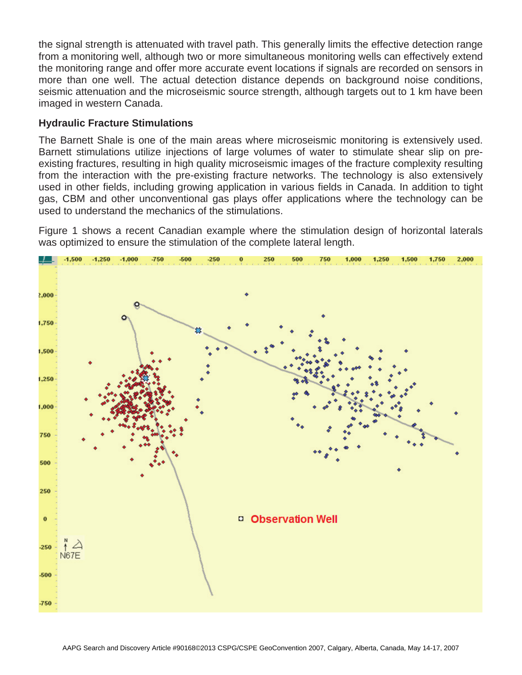the signal strength is attenuated with travel path. This generally limits the effective detection range from a monitoring well, although two or more simultaneous monitoring wells can effectively extend the monitoring range and offer more accurate event locations if signals are recorded on sensors in more than one well. The actual detection distance depends on background noise conditions, seismic attenuation and the microseismic source strength, although targets out to 1 km have been imaged in western Canada.

## **Hydraulic Fracture Stimulations**

The Barnett Shale is one of the main areas where microseismic monitoring is extensively used. Barnett stimulations utilize injections of large volumes of water to stimulate shear slip on preexisting fractures, resulting in high quality microseismic images of the fracture complexity resulting from the interaction with the pre-existing fracture networks. The technology is also extensively used in other fields, including growing application in various fields in Canada. In addition to tight gas, CBM and other unconventional gas plays offer applications where the technology can be used to understand the mechanics of the stimulations.

Figure 1 shows a recent Canadian example where the stimulation design of horizontal laterals was optimized to ensure the stimulation of the complete lateral length.